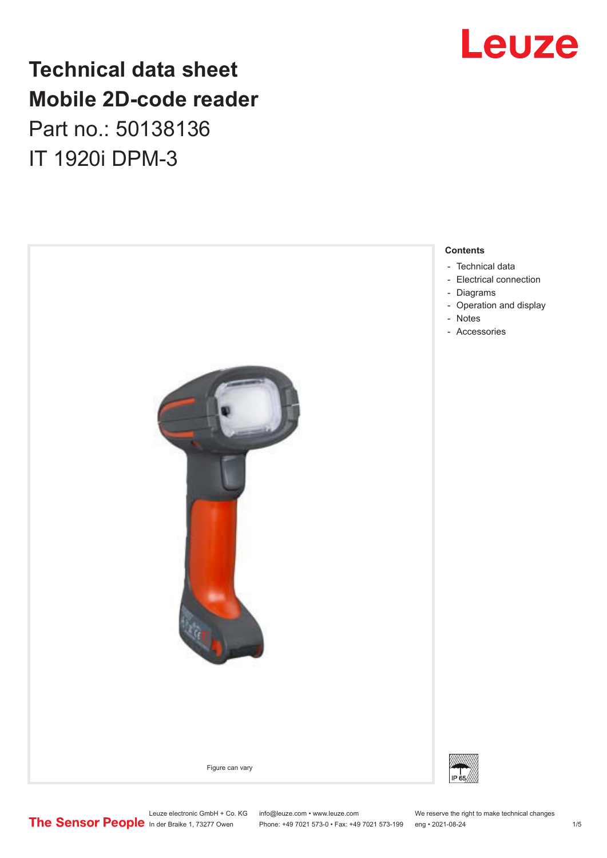# **Technical data sheet Mobile 2D-code reader** Part no.: 50138136

IT 1920i DPM-3





Leuze electronic GmbH + Co. KG info@leuze.com • www.leuze.com We reserve the right to make technical changes<br> **The Sensor People** in der Braike 1, 73277 Owen Phone: +49 7021 573-0 • Fax: +49 7021 573-199 eng • 2021-08-24

Phone: +49 7021 573-0 • Fax: +49 7021 573-199 eng • 2021-08-24 1 metal is a man at the 1/5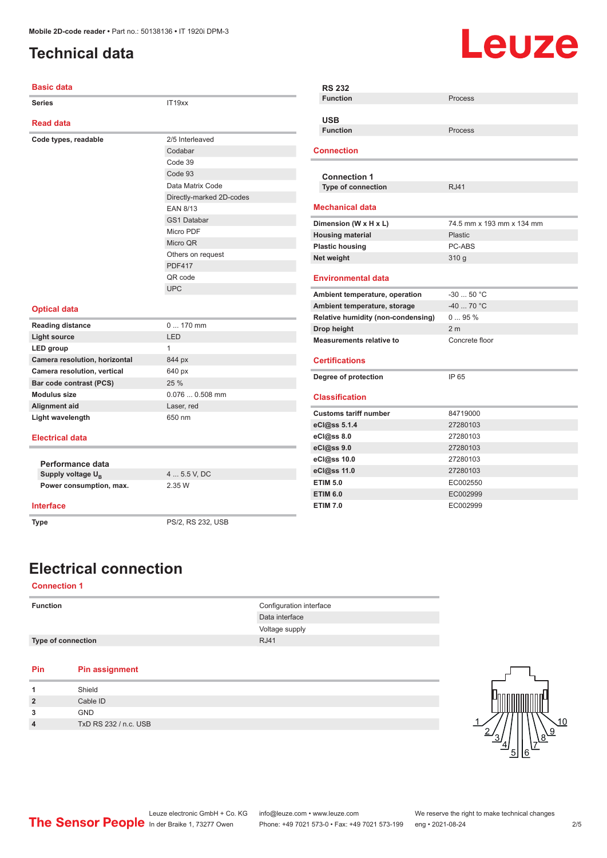## <span id="page-1-0"></span>**Technical data**

# **Leuze**

| <b>Basic data</b>             |                          | <b>RS 232</b>                      |                           |  |
|-------------------------------|--------------------------|------------------------------------|---------------------------|--|
| <b>Series</b>                 | IT19xx                   | <b>Function</b>                    | Process                   |  |
|                               |                          | <b>USB</b>                         |                           |  |
| <b>Read data</b>              |                          | <b>Function</b>                    | Process                   |  |
| Code types, readable          | 2/5 Interleaved          |                                    |                           |  |
|                               | Codabar                  | <b>Connection</b>                  |                           |  |
|                               | Code 39                  |                                    |                           |  |
|                               | Code 93                  | <b>Connection 1</b>                |                           |  |
|                               | Data Matrix Code         | <b>Type of connection</b>          | <b>RJ41</b>               |  |
|                               | Directly-marked 2D-codes |                                    |                           |  |
|                               | <b>EAN 8/13</b>          | <b>Mechanical data</b>             |                           |  |
|                               | <b>GS1 Databar</b>       | Dimension (W x H x L)              | 74.5 mm x 193 mm x 134 mm |  |
|                               | Micro PDF                | <b>Housing material</b>            | <b>Plastic</b>            |  |
|                               | Micro QR                 | <b>Plastic housing</b>             | PC-ABS                    |  |
|                               | Others on request        | Net weight                         | 310 g                     |  |
|                               | <b>PDF417</b>            |                                    |                           |  |
|                               | OR code                  | <b>Environmental data</b>          |                           |  |
|                               | <b>UPC</b>               | Ambient temperature, operation     | $-30$ 50 °C               |  |
|                               |                          | Ambient temperature, storage       | $-40$ 70 °C               |  |
| <b>Optical data</b>           |                          | Relative humidity (non-condensing) | 095%                      |  |
| <b>Reading distance</b>       | $0170$ mm                | Drop height                        | 2 <sub>m</sub>            |  |
| <b>Light source</b>           | <b>LED</b>               | <b>Measurements relative to</b>    | Concrete floor            |  |
| LED group                     | $\mathbf{1}$             |                                    |                           |  |
| Camera resolution, horizontal | 844 px                   | <b>Certifications</b>              |                           |  |
| Camera resolution, vertical   | 640 px                   | Degree of protection               | IP 65                     |  |
| Bar code contrast (PCS)       | 25 %                     |                                    |                           |  |
| <b>Modulus size</b>           | $0.0760.508$ mm          | <b>Classification</b>              |                           |  |
| Alignment aid                 | Laser, red               |                                    |                           |  |
| Light wavelength              | 650 nm                   | <b>Customs tariff number</b>       | 84719000                  |  |
|                               |                          | eCl@ss 5.1.4                       | 27280103                  |  |
| <b>Electrical data</b>        |                          | eCl@ss 8.0                         | 27280103                  |  |
|                               |                          | eCl@ss 9.0                         | 27280103                  |  |
| Performance data              |                          | eCl@ss 10.0                        | 27280103                  |  |
| Supply voltage U <sub>B</sub> | 4  5.5 V, DC             | eCl@ss 11.0                        | 27280103                  |  |
| Power consumption, max.       | 2.35 W                   | <b>ETIM 5.0</b>                    | EC002550                  |  |
|                               |                          | <b>ETIM 6.0</b>                    | EC002999                  |  |
| <b>Interface</b>              |                          | <b>ETIM 7.0</b>                    | EC002999                  |  |
| <b>Type</b>                   | PS/2, RS 232, USB        |                                    |                           |  |

# **Electrical connection**

#### **Connection 1**

| <b>Function</b>           | Configuration interface |
|---------------------------|-------------------------|
|                           | Data interface          |
|                           | Voltage supply          |
| <b>Type of connection</b> | <b>RJ41</b>             |
|                           |                         |

#### **Pin Pin assignment**

| Shield                |
|-----------------------|
| Cable ID              |
| <b>GND</b>            |
| TxD RS 232 / n.c. USB |
|                       |

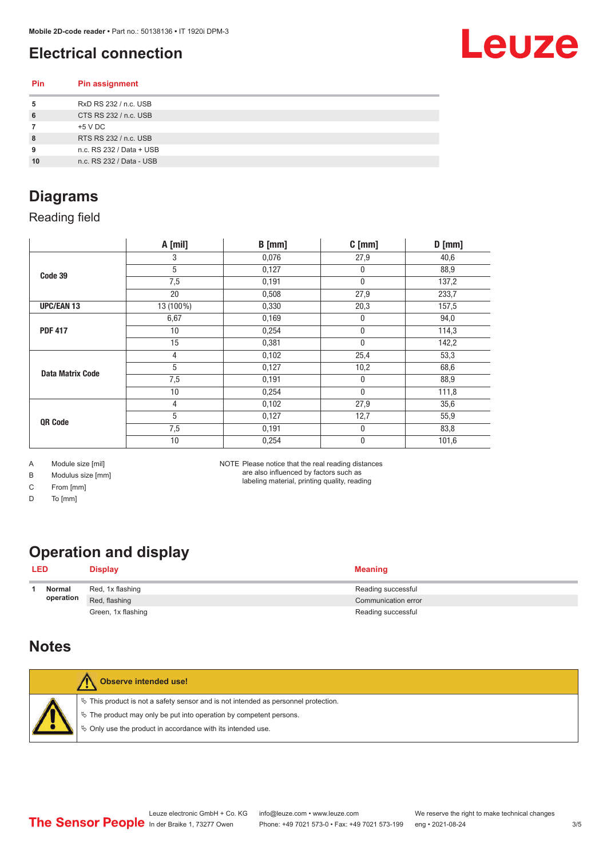## <span id="page-2-0"></span>**Electrical connection**

**Pin Pin assignment**



| 5  | RxD RS 232 / n.c. USB    |  |
|----|--------------------------|--|
| 6  | CTS RS 232 / n.c. USB    |  |
|    | +5 V DC                  |  |
| 8  | RTS RS 232 / n.c. USB    |  |
| 9  | n.c. RS 232 / Data + USB |  |
| 10 | n.c. RS 232 / Data - USB |  |
|    |                          |  |

#### **Diagrams**

Reading field

|                         | A [mil]   | $B$ [mm] | $C$ [mm]         | $D$ [mm] |
|-------------------------|-----------|----------|------------------|----------|
|                         | 3         | 0,076    | 27,9             | 40,6     |
| Code 39                 | 5         | 0,127    | 0                | 88,9     |
|                         | 7,5       | 0,191    | $\pmb{0}$        | 137,2    |
|                         | 20        | 0,508    | 27,9             | 233,7    |
| <b>UPC/EAN 13</b>       | 13 (100%) | 0,330    | 20,3             | 157,5    |
|                         | 6,67      | 0,169    | $\boldsymbol{0}$ | 94,0     |
| <b>PDF 417</b>          | 10        | 0,254    | $\pmb{0}$        | 114,3    |
|                         | 15        | 0,381    | $\mathbf 0$      | 142,2    |
|                         | 4         | 0,102    | 25,4             | 53,3     |
| <b>Data Matrix Code</b> | 5         | 0,127    | 10,2             | 68,6     |
|                         | 7,5       | 0,191    | $\boldsymbol{0}$ | 88,9     |
|                         | 10        | 0,254    | $\bf{0}$         | 111,8    |
|                         | 4         | 0,102    | 27,9             | 35,6     |
| QR Code                 | 5         | 0,127    | 12,7             | 55,9     |
|                         | 7,5       | 0,191    | $\boldsymbol{0}$ | 83,8     |
|                         | 10        | 0,254    | 0                | 101,6    |

A Module size [mil]

B Modulus size [mm]

C From [mm]

D To [mm]

NOTE Please notice that the real reading distances are also influenced by factors such as labeling material, printing quality, reading

# **Operation and display**

| <b>LED</b> |                    | <b>Display</b>      | <b>Meaning</b>     |
|------------|--------------------|---------------------|--------------------|
|            | Normal             | Red, 1x flashing    | Reading successful |
| operation  | Red, flashing      | Communication error |                    |
|            | Green, 1x flashing | Reading successful  |                    |

#### **Notes**

| Observe intended use!                                                                                                                                                                                                            |
|----------------------------------------------------------------------------------------------------------------------------------------------------------------------------------------------------------------------------------|
| $\%$ This product is not a safety sensor and is not intended as personnel protection.<br>$\&$ The product may only be put into operation by competent persons.<br>$\%$ Only use the product in accordance with its intended use. |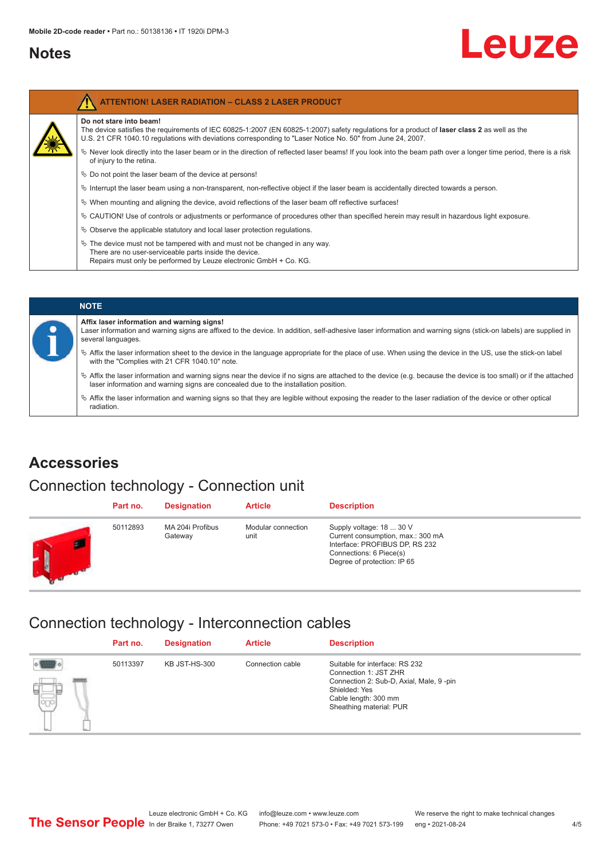#### <span id="page-3-0"></span>**Notes**

# Leuze

| <b>ATTENTION! LASER RADIATION - CLASS 2 LASER PRODUCT</b>                                                                                                                                                                                                                                    |
|----------------------------------------------------------------------------------------------------------------------------------------------------------------------------------------------------------------------------------------------------------------------------------------------|
| Do not stare into beam!<br>The device satisfies the requirements of IEC 60825-1:2007 (EN 60825-1:2007) safety requiations for a product of <b>laser class 2</b> as well as the<br>U.S. 21 CFR 1040.10 regulations with deviations corresponding to "Laser Notice No. 50" from June 24, 2007. |
| Never look directly into the laser beam or in the direction of reflected laser beams! If you look into the beam path over a longer time period, there is a risk<br>of injury to the retina.                                                                                                  |
| $\%$ Do not point the laser beam of the device at persons!                                                                                                                                                                                                                                   |
| $\%$ Interrupt the laser beam using a non-transparent, non-reflective object if the laser beam is accidentally directed towards a person.                                                                                                                                                    |
| $\%$ When mounting and aligning the device, avoid reflections of the laser beam off reflective surfaces!                                                                                                                                                                                     |
| $\&$ CAUTION! Use of controls or adjustments or performance of procedures other than specified herein may result in hazardous light exposure.                                                                                                                                                |
| $\%$ Observe the applicable statutory and local laser protection regulations.                                                                                                                                                                                                                |
| $\&$ The device must not be tampered with and must not be changed in any way.<br>There are no user-serviceable parts inside the device.<br>Repairs must only be performed by Leuze electronic GmbH + Co. KG.                                                                                 |

#### **NOTE Affix laser information and warning signs!** Laser information and warning signs are affixed to the device. In addition, self-adhesive laser information and warning signs (stick-on labels) are supplied in several languages. ª Affix the laser information sheet to the device in the language appropriate for the place of use. When using the device in the US, use the stick-on label with the "Complies with 21 CFR 1040.10" note. ª Affix the laser information and warning signs near the device if no signs are attached to the device (e.g. because the device is too small) or if the attached laser information and warning signs are concealed due to the installation position.  $\%$  Affix the laser information and warning signs so that they are legible without exposing the reader to the laser radiation of the device or other optical radiation.

#### **Accessories**

#### Connection technology - Connection unit

| Part no. | <b>Designation</b>          | <b>Article</b>             | <b>Description</b>                                                                                                                                        |
|----------|-----------------------------|----------------------------|-----------------------------------------------------------------------------------------------------------------------------------------------------------|
| 50112893 | MA 204i Profibus<br>Gateway | Modular connection<br>unit | Supply voltage: 18  30 V<br>Current consumption, max.: 300 mA<br>Interface: PROFIBUS DP, RS 232<br>Connections: 6 Piece(s)<br>Degree of protection: IP 65 |

#### Connection technology - Interconnection cables

|         | Part no. | <b>Designation</b> | <b>Article</b>   | <b>Description</b>                                                                                                                                                     |
|---------|----------|--------------------|------------------|------------------------------------------------------------------------------------------------------------------------------------------------------------------------|
| 보.<br>ತ | 50113397 | KB JST-HS-300      | Connection cable | Suitable for interface: RS 232<br>Connection 1: JST ZHR<br>Connection 2: Sub-D, Axial, Male, 9-pin<br>Shielded: Yes<br>Cable length: 300 mm<br>Sheathing material: PUR |